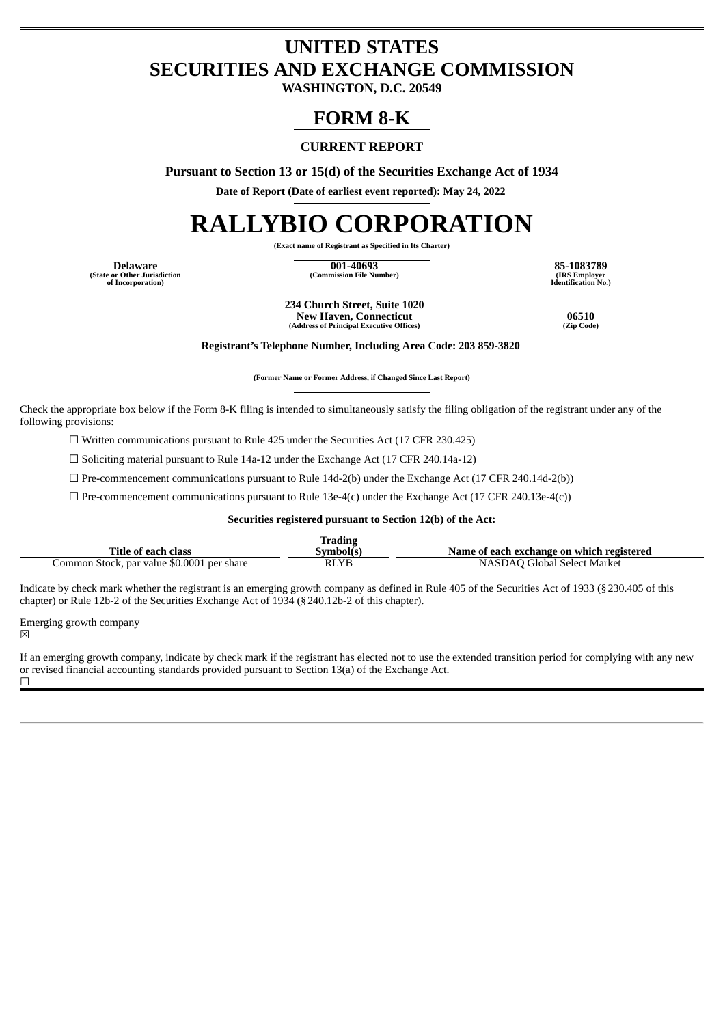# **UNITED STATES SECURITIES AND EXCHANGE COMMISSION**

**WASHINGTON, D.C. 20549**

## **FORM 8-K**

## **CURRENT REPORT**

**Pursuant to Section 13 or 15(d) of the Securities Exchange Act of 1934**

**Date of Report (Date of earliest event reported): May 24, 2022**

# **RALLYBIO CORPORATION**

**(Exact name of Registrant as Specified in Its Charter)**

**(State or Other Jurisdiction of Incorporation)**

**Delaware 001-40693 85-1083789**  $(Commission File Number)$ 

**Identification No.)**

**234 Church Street, Suite 1020 New Haven, Connecticut 16510**<br> **16510 16510 16510 166510 166610 166610 166610 166610 166610 166610 (Address of Principal Executive Offices) (Zip Code)**

**Registrant's Telephone Number, Including Area Code: 203 859-3820**

**(Former Name or Former Address, if Changed Since Last Report)**

Check the appropriate box below if the Form 8-K filing is intended to simultaneously satisfy the filing obligation of the registrant under any of the following provisions:

☐ Written communications pursuant to Rule 425 under the Securities Act (17 CFR 230.425)

☐ Soliciting material pursuant to Rule 14a-12 under the Exchange Act (17 CFR 240.14a-12)

 $\Box$  Pre-commencement communications pursuant to Rule 14d-2(b) under the Exchange Act (17 CFR 240.14d-2(b))

 $\Box$  Pre-commencement communications pursuant to Rule 13e-4(c) under the Exchange Act (17 CFR 240.13e-4(c))

#### **Securities registered pursuant to Section 12(b) of the Act:**

|                                            | <b>Trading</b> |                                           |
|--------------------------------------------|----------------|-------------------------------------------|
| Title of each class                        | Svmbol(s       | Name of each exchange on which registered |
| Common Stock, par value \$0.0001 per share | <b>RLYB</b>    | NASDAO Global Select Market               |

Indicate by check mark whether the registrant is an emerging growth company as defined in Rule 405 of the Securities Act of 1933 (§230.405 of this chapter) or Rule 12b-2 of the Securities Exchange Act of 1934 (§240.12b-2 of this chapter).

Emerging growth company

☒

If an emerging growth company, indicate by check mark if the registrant has elected not to use the extended transition period for complying with any new or revised financial accounting standards provided pursuant to Section 13(a) of the Exchange Act. ☐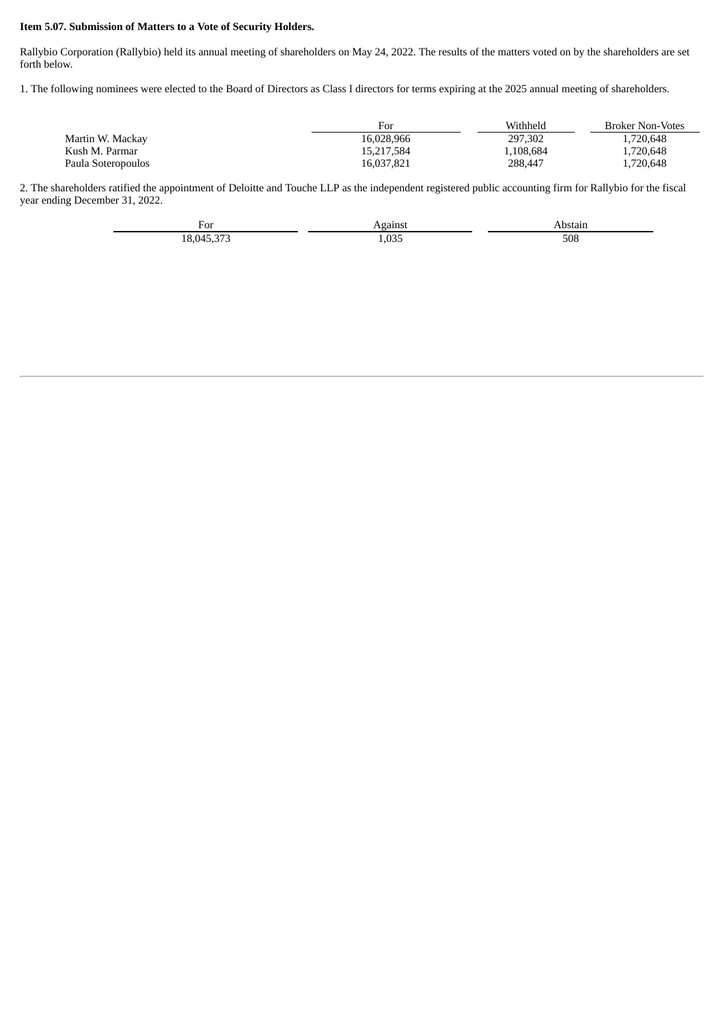#### **Item 5.07. Submission of Matters to a Vote of Security Holders.**

Rallybio Corporation (Rallybio) held its annual meeting of shareholders on May 24, 2022. The results of the matters voted on by the shareholders are set forth below.

1. The following nominees were elected to the Board of Directors as Class I directors for terms expiring at the 2025 annual meeting of shareholders.

|                    | For        | Withheld  | <b>Broker Non-Votes</b> |
|--------------------|------------|-----------|-------------------------|
| Martin W. Mackay   | 16.028.966 | 297.302   | 1.720.648               |
| Kush M. Parmar     | 15.217.584 | 1,108,684 | 1.720.648               |
| Paula Soteropoulos | 16,037,821 | 288,447   | 1.720.648               |

2. The shareholders ratified the appointment of Deloitte and Touche LLP as the independent registered public accounting firm for Rallybio for the fiscal year ending December 31, 2022.

| ⊬∩ד<br>T. OT<br>$\sim$ $\sim$  | 1011221<br>. .              | ---- |
|--------------------------------|-----------------------------|------|
| $\sim$<br>$\Omega$<br>u<br>LU. | $\sim$ $\sim$ $\sim$<br>しつし | 508  |